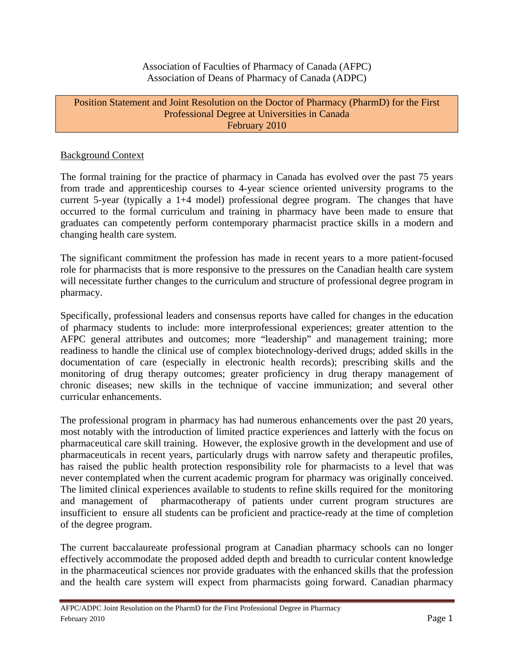Association of Faculties of Pharmacy of Canada (AFPC) Association of Deans of Pharmacy of Canada (ADPC)

## Position Statement and Joint Resolution on the Doctor of Pharmacy (PharmD) for the First Professional Degree at Universities in Canada February 2010

## Background Context

The formal training for the practice of pharmacy in Canada has evolved over the past 75 years from trade and apprenticeship courses to 4-year science oriented university programs to the current 5-year (typically a 1+4 model) professional degree program. The changes that have occurred to the formal curriculum and training in pharmacy have been made to ensure that graduates can competently perform contemporary pharmacist practice skills in a modern and changing health care system.

The significant commitment the profession has made in recent years to a more patient-focused role for pharmacists that is more responsive to the pressures on the Canadian health care system will necessitate further changes to the curriculum and structure of professional degree program in pharmacy.

Specifically, professional leaders and consensus reports have called for changes in the education of pharmacy students to include: more interprofessional experiences; greater attention to the AFPC general attributes and outcomes; more "leadership" and management training; more readiness to handle the clinical use of complex biotechnology-derived drugs; added skills in the documentation of care (especially in electronic health records); prescribing skills and the monitoring of drug therapy outcomes; greater proficiency in drug therapy management of chronic diseases; new skills in the technique of vaccine immunization; and several other curricular enhancements.

The professional program in pharmacy has had numerous enhancements over the past 20 years, most notably with the introduction of limited practice experiences and latterly with the focus on pharmaceutical care skill training. However, the explosive growth in the development and use of pharmaceuticals in recent years, particularly drugs with narrow safety and therapeutic profiles, has raised the public health protection responsibility role for pharmacists to a level that was never contemplated when the current academic program for pharmacy was originally conceived. The limited clinical experiences available to students to refine skills required for the monitoring and management of pharmacotherapy of patients under current program structures are insufficient to ensure all students can be proficient and practice-ready at the time of completion of the degree program.

The current baccalaureate professional program at Canadian pharmacy schools can no longer effectively accommodate the proposed added depth and breadth to curricular content knowledge in the pharmaceutical sciences nor provide graduates with the enhanced skills that the profession and the health care system will expect from pharmacists going forward. Canadian pharmacy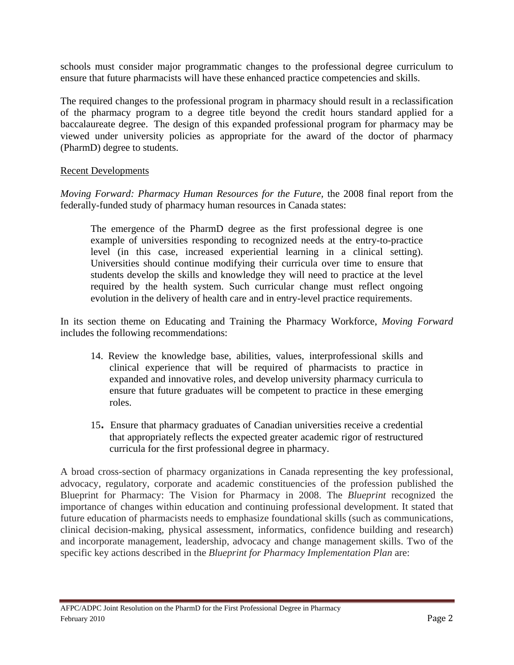schools must consider major programmatic changes to the professional degree curriculum to ensure that future pharmacists will have these enhanced practice competencies and skills.

The required changes to the professional program in pharmacy should result in a reclassification of the pharmacy program to a degree title beyond the credit hours standard applied for a baccalaureate degree. The design of this expanded professional program for pharmacy may be viewed under university policies as appropriate for the award of the doctor of pharmacy (PharmD) degree to students.

## Recent Developments

*Moving Forward: Pharmacy Human Resources for the Future,* the 2008 final report from the federally-funded study of pharmacy human resources in Canada states:

The emergence of the PharmD degree as the first professional degree is one example of universities responding to recognized needs at the entry-to-practice level (in this case, increased experiential learning in a clinical setting). Universities should continue modifying their curricula over time to ensure that students develop the skills and knowledge they will need to practice at the level required by the health system. Such curricular change must reflect ongoing evolution in the delivery of health care and in entry-level practice requirements.

In its section theme on Educating and Training the Pharmacy Workforce, *Moving Forward*  includes the following recommendations:

- 14. Review the knowledge base, abilities, values, interprofessional skills and clinical experience that will be required of pharmacists to practice in expanded and innovative roles, and develop university pharmacy curricula to ensure that future graduates will be competent to practice in these emerging roles.
- 15**.** Ensure that pharmacy graduates of Canadian universities receive a credential that appropriately reflects the expected greater academic rigor of restructured curricula for the first professional degree in pharmacy.

A broad cross-section of pharmacy organizations in Canada representing the key professional, advocacy, regulatory, corporate and academic constituencies of the profession published the Blueprint for Pharmacy: The Vision for Pharmacy in 2008. The *Blueprint* recognized the importance of changes within education and continuing professional development. It stated that future education of pharmacists needs to emphasize foundational skills (such as communications, clinical decision-making, physical assessment, informatics, confidence building and research) and incorporate management, leadership, advocacy and change management skills. Two of the specific key actions described in the *Blueprint for Pharmacy Implementation Plan* are: